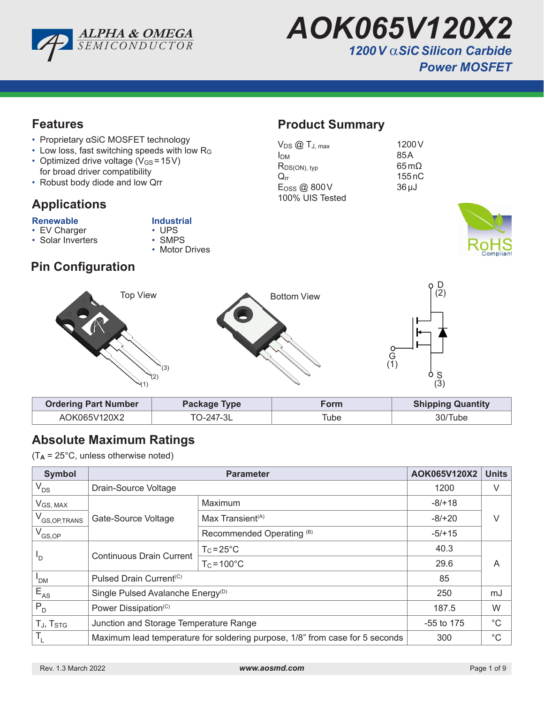

*AOK065V120X2 1200V* α*SiC Silicon Carbide Power MOSFET* 

#### **Features**

- Proprietary αSiC MOSFET technology
- Low loss, fast switching speeds with low R<sup>G</sup>
- Optimized drive voltage  $(V_{GS} = 15V)$ for broad driver compatibility
- Robust body diode and low Qrr

# **Applications**

- **Renewable Industrial**<br>• EV Charger **COM** UPS • EV Charger • UPS<br>• Solar Inverters • SMPS
	-
- $\cdot$  Solar Inverters
- Motor Drives
- **Pin Configuration**

# **Product Summary**

| $V_{DS}$ $@$ $T_{J, max}$   | 1200 V                  |
|-----------------------------|-------------------------|
| <b>I</b> <sub>DM</sub>      | 85A                     |
| $R_{DS(ON), typ}$           | $65 \,\mathrm{m}\Omega$ |
| $Q_{rr}$                    | 155nC                   |
| $E$ <sub>OSS</sub> $@$ 800V | $36 \mu J$              |
| 100% UIS Tested             |                         |
|                             |                         |





| <b>Ordering Part Number</b><br>Package Type |           | Form | <b>Shipping Quantity</b> |  |  |
|---------------------------------------------|-----------|------|--------------------------|--|--|
| AOK065V120X2                                | TO-247-3L | Tube | 30/Tube                  |  |  |

## **Absolute Maximum Ratings**

 $(T_A = 25^{\circ}C$ , unless otherwise noted)

| <b>Symbol</b>              |                                                                              | AOK065V120X2                         | <b>Units</b> |             |  |
|----------------------------|------------------------------------------------------------------------------|--------------------------------------|--------------|-------------|--|
| $V_{DS}$                   | Drain-Source Voltage                                                         |                                      | 1200         | V           |  |
| $V_{GS, MAX}$              |                                                                              | Maximum                              | $-8/+18$     |             |  |
| V <sub>GS, OP, TRANS</sub> | Gate-Source Voltage                                                          | Max Transient $(A)$                  | $-8/+20$     |             |  |
| $V_{GS,OP}$                |                                                                              | Recommended Operating <sup>(B)</sup> | $-5/+15$     |             |  |
|                            |                                                                              | $T_c = 25^{\circ}C$                  | 40.3         |             |  |
| <sup>'D</sup>              | <b>Continuous Drain Current</b>                                              | $T_c = 100^{\circ}$ C                | 29.6         | A           |  |
| <b>PDM</b>                 | Pulsed Drain Current <sup>(C)</sup>                                          |                                      | 85           |             |  |
| $E_{AS}$                   | Single Pulsed Avalanche Energy <sup>(D)</sup>                                |                                      | 250          | mJ          |  |
| $P_{D}$                    | Power Dissipation <sup>(C)</sup>                                             |                                      | 187.5        | W           |  |
| TJ, T <sub>STG</sub>       | Junction and Storage Temperature Range                                       |                                      | $-55$ to 175 | $^{\circ}C$ |  |
| $T_{L}$                    | Maximum lead temperature for soldering purpose, 1/8" from case for 5 seconds |                                      | 300          | $^{\circ}C$ |  |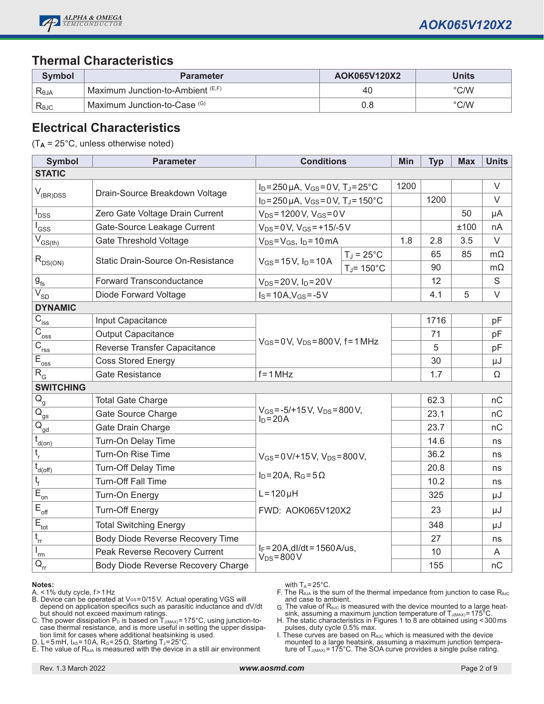

#### **Thermal Characteristics**

| Symbol         | <b>Parameter</b>                  | AOK065V120X2 | Units          |
|----------------|-----------------------------------|--------------|----------------|
| Reja           | Maximum Junction-to-Ambient (E,F) | 40           | $\degree$ C/W  |
| $R_{\theta$ JC | Maximum Junction-to-Case (G)      | 0.8          | $^{\circ}$ C/W |

#### **Electrical Characteristics**

(T**A** = 25°C, unless otherwise noted)

| <b>Symbol</b>                                    | <b>Parameter</b>                   | <b>Conditions</b>                                                            |                          | Min  | <b>Typ</b> | <b>Max</b> | <b>Units</b> |
|--------------------------------------------------|------------------------------------|------------------------------------------------------------------------------|--------------------------|------|------------|------------|--------------|
| <b>STATIC</b>                                    |                                    |                                                                              |                          |      |            |            |              |
|                                                  |                                    | $I_D = 250 \mu A$ , $V_{GS} = 0 V$ , $T_J = 25^{\circ}C$                     |                          | 1200 |            |            | $\vee$       |
| $V_{(BR)DSS}$                                    | Drain-Source Breakdown Voltage     | $I_D = 250 \mu A$ , $V_{GS} = 0 V$ , $T_J = 150^{\circ}C$                    |                          |      | 1200       |            | $\vee$       |
| <b>DSS</b>                                       | Zero Gate Voltage Drain Current    | $V_{DS} = 1200 V$ , $V_{GS} = 0V$                                            |                          |      |            | 50         | μA           |
| GSS                                              | Gate-Source Leakage Current        | $V_{DS} = 0 V$ , $V_{GS} = +15/-5 V$                                         |                          |      |            | ±100       | nA           |
| $\overline{V}_{GS(th)}$                          | <b>Gate Threshold Voltage</b>      | $V_{DS} = V_{GS}$ , $I_D = 10 \text{ mA}$                                    |                          | 1.8  | 2.8        | 3.5        | $\vee$       |
| $R_{DS(ON)}$                                     | Static Drain-Source On-Resistance  | $V_{GS} = 15 V$ , $I_D = 10 A$                                               | $T_J = 25^{\circ}C$      |      | 65         | 85         | $m\Omega$    |
|                                                  |                                    |                                                                              | $T_J$ = 150 $^{\circ}$ C |      | 90         |            | $m\Omega$    |
| $g_{\text{fs}}$                                  | <b>Forward Transconductance</b>    | $V_{DS} = 20 V$ , $I_D = 20 V$                                               |                          |      | 12         |            | S            |
| $\overline{V_{SD}}$                              | Diode Forward Voltage              | $I_S = 10A, V_{GS} = -5V$                                                    |                          |      | 4.1        | 5          | $\vee$       |
| <b>DYNAMIC</b>                                   |                                    |                                                                              |                          |      |            |            |              |
| $C_{\rm iss}$                                    | Input Capacitance                  |                                                                              |                          |      | 1716       |            | pF           |
| $\overline{C}_{\underline{oss}}$                 | <b>Output Capacitance</b>          | $V_{GS} = 0 V$ , $V_{DS} = 800 V$ , f = 1 MHz                                |                          |      | 71         |            | pF           |
| $\overline{C}_{\underline{rss}}$                 | Reverse Transfer Capacitance       |                                                                              |                          |      | 5          |            | pF           |
| $E_{\underline{oss}}$                            | <b>Coss Stored Energy</b>          |                                                                              |                          |      | 30         |            | μJ           |
| $R_{G}$                                          | Gate Resistance                    | $f = 1 MHz$                                                                  |                          |      | 1.7        |            | Ω            |
| <b>SWITCHING</b>                                 |                                    |                                                                              |                          |      |            |            |              |
| $Q_{\rm g}$                                      | <b>Total Gate Charge</b>           | $V_{GS} = -5/+15 V$ , $V_{DS} = 800 V$ ,<br>$I_D = 20A$                      |                          |      | 62.3       |            | nC           |
| $\overline{Q}_{gs}$                              | Gate Source Charge                 |                                                                              |                          |      | 23.1       |            | nC           |
| $\overline{Q}_{\underline{gd}}$                  | Gate Drain Charge                  |                                                                              |                          |      | 23.7       |            | nC           |
| $\mathfrak{t}_{\sf d(on)}$                       | Turn-On Delay Time                 |                                                                              |                          |      | 14.6       |            | ns           |
| t,                                               | Turn-On Rise Time                  | $V_{GS} = 0 V/ + 15 V$ , $V_{DS} = 800 V$ ,<br>$I_D = 20A$ , $R_G = 5\Omega$ |                          |      | 36.2       |            | ns           |
| $\bar{t}_{\underline{d(\text{off})}}$            | <b>Turn-Off Delay Time</b>         |                                                                              |                          |      | 20.8       |            | ns           |
| t,                                               | <b>Turn-Off Fall Time</b>          |                                                                              |                          |      | 10.2       |            | ns           |
| $\overline{E}_{\underline{on}}$                  | Turn-On Energy                     | $L = 120 \mu H$                                                              |                          |      | 325        |            | μJ           |
| $E_{\text{off}}$                                 | <b>Turn-Off Energy</b>             | FWD: AOK065V120X2                                                            |                          |      | 23         |            | μJ           |
| $E_{\rm tot}$                                    | <b>Total Switching Energy</b>      |                                                                              |                          |      | 348        |            | μJ           |
| $t_{rr}$                                         | Body Diode Reverse Recovery Time   |                                                                              |                          |      | 27         |            | ns           |
| rm                                               | Peak Reverse Recovery Current      | $I_F = 20A$ , dl/dt = 1560A/us,<br>$V_{DS} = 800 V$                          |                          |      | 10         |            | A            |
| $\overline{\mathsf{Q}}_{\underline{\mathsf{r}}}$ | Body Diode Reverse Recovery Charge |                                                                              |                          |      | 155        |            | nC           |

#### **Notes:**

- A.  $\leq$  1% duty cycle, f > 1 Hz
- B. Device can be operated at Vേs=0/15 V. Actual operating VGS will depend on application specifics such as parasitic inductance and dV/dt but should not exceed maximum ratings.
- C. The power dissipation  $\mathsf{P}_\mathsf{D}$  is based on  $\mathsf{T}_\mathsf{J(MAX)}$ =175°C, using junction-tocase thermal resistance, and is more useful in setting the upper dissipation limit for cases where additional heatsinking is used.
- D. L=5mH,  $I_{AS}$ =10A, R<sub>G</sub>=25Ω, Starting T<sub>J</sub>=25°C

E. The value of  $R_{\theta_{\theta A}}$  is measured with the device in a still air environment

with  $T_A = 25^{\circ}$ C.

F. The  $R_{\theta JA}$  is the sum of the thermal impedance from junction to case  $R_{\theta JC}$ and case to ambient.

G. The value of  $R_{\theta\cup\theta}$  is measured with the device mounted to a large heatsink, assuming a maximum junction temperature of  $T_{J(MAX)} = 175^{\circ}$ C

H. The static characteristics in Figures 1 to 8 are obtained using <300ms pulses, duty cycle 0.5% max.

I. These curves are based on  $R_{\theta\text{UC}}$  which is measured with the device mounted to a large heatsink, assuming a maximum junction tempera- ture of  $T_{J(MAX)}$ =175°C. The SOA curve provides a single pulse rating.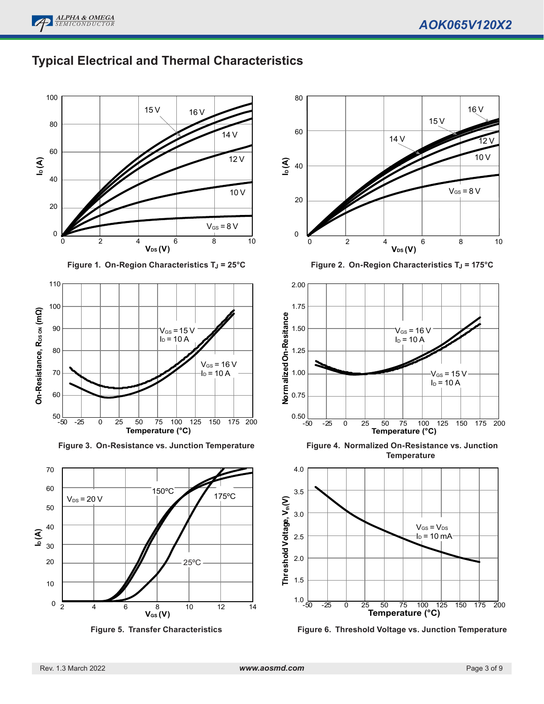

## **Typical Electrical and Thermal Characteristics**



**Figure 1. On-Region Characteristics T<sub>J</sub> = 25°C** 



**Figure 3. On-Resistance vs. Junction Temperature**







**Figure 2. On-Region Characteristics T<sub>J</sub> = 175°C** 



**Figure 4. Normalized On-Resistance vs. Junction Temperature**



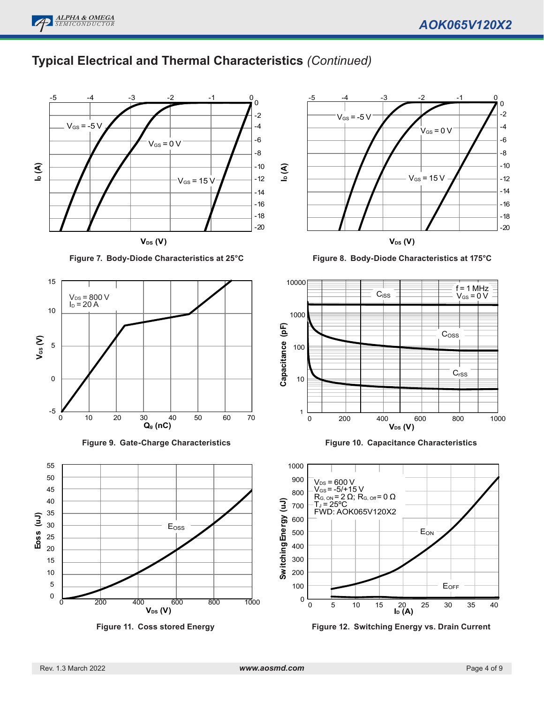

**ALPHA & OMEGA** *SEMICONDUCTOR*



**Figure 7. Body-Diode Characteristics at 25°C**











**Figure 8. Body-Diode Characteristics at 175°C**







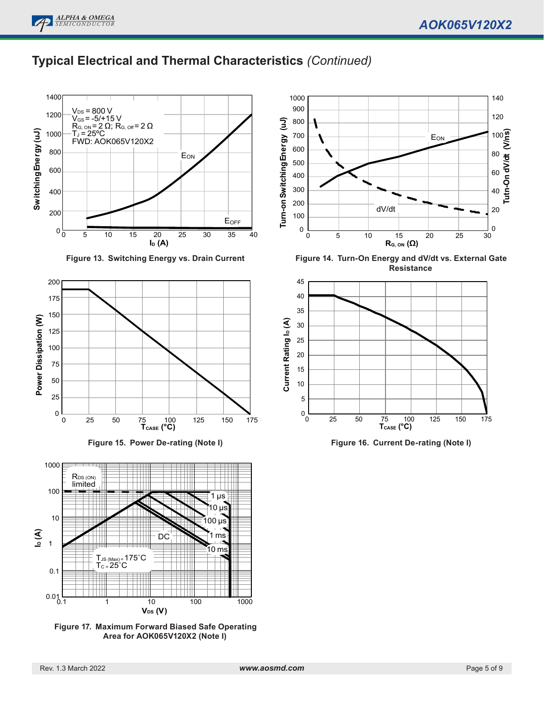# **Typical Electrical and Thermal Characteristics** *(Continued)*



**Figure 13. Switching Energy vs. Drain Current**







**Figure 17. Maximum Forward Biased Safe Operating Area for AOK065V120X2 (Note I)**



**Figure 14. Turn-On Energy and dV/dt vs. External Gate Resistance**



**Figure 16. Current De-rating (Note I)**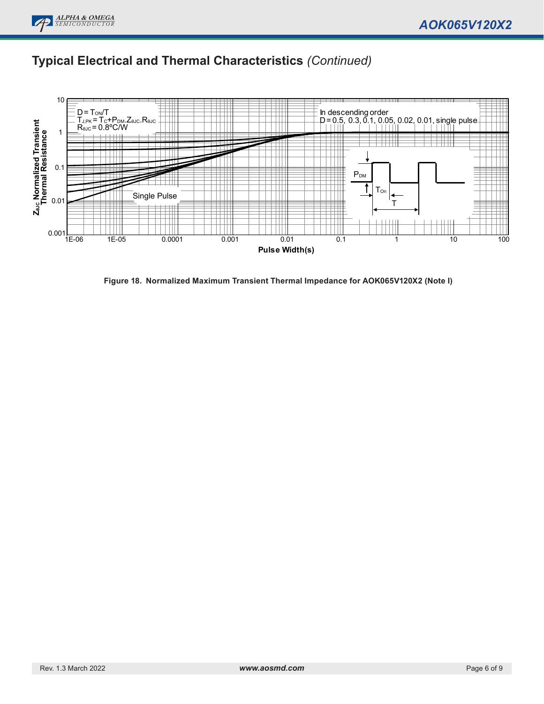# **Typical Electrical and Thermal Characteristics** *(Continued)*



**Figure 18. Normalized Maximum Transient Thermal Impedance for AOK065V120X2 (Note I)**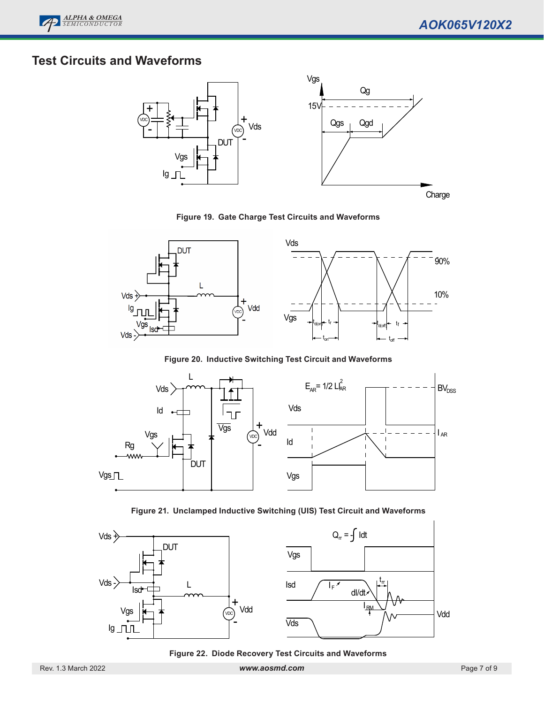

# **Test Circuits and Waveforms**



**Figure 19. Gate Charge Test Circuits and Waveforms**



**Figure 20. Inductive Switching Test Circuit and Waveforms**



**Figure 21. Unclamped Inductive Switching (UIS) Test Circuit and Waveforms**



**Figure 22. Diode Recovery Test Circuits and Waveforms**

Rev. 1.3 March 2022 *www.aosmd.com* Page 7 of 9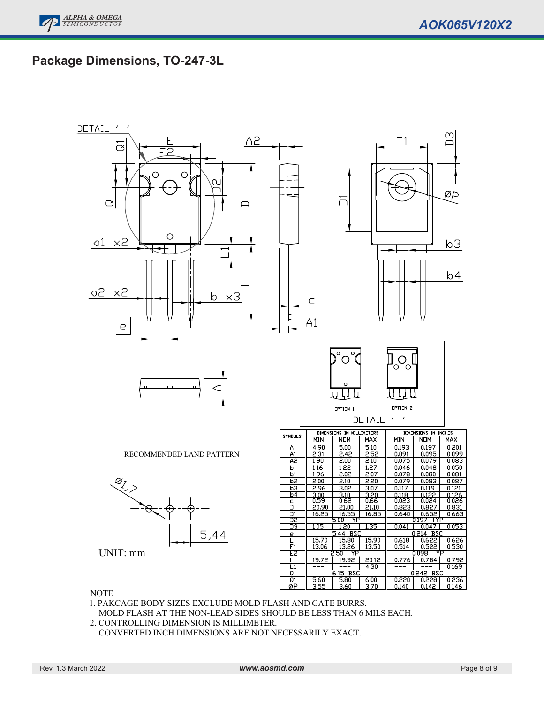# **Package Dimensions, TO-247-3L**



NOTE

1. PAKCAGE BODY SIZES EXCLUDE MOLD FLASH AND GATE BURRS.

MOLD FLASH AT THE NON-LEAD SIDES SHOULD BE LESS THAN 6 MILS EACH.

2. CONTROLLING DIMENSION IS MILLIMETER.

CONVERTED INCH DIMENSIONS ARE NOT NECESSARILY EXACT.